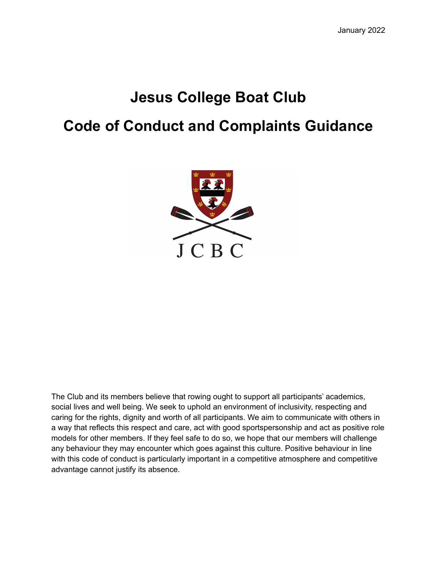# **Jesus College Boat Club Code of Conduct and Complaints Guidance**



The Club and its members believe that rowing ought to support all participants' academics, social lives and well being. We seek to uphold an environment of inclusivity, respecting and caring for the rights, dignity and worth of all participants. We aim to communicate with others in a way that reflects this respect and care, act with good sportspersonship and act as positive role models for other members. If they feel safe to do so, we hope that our members will challenge any behaviour they may encounter which goes against this culture. Positive behaviour in line with this code of conduct is particularly important in a competitive atmosphere and competitive advantage cannot justify its absence.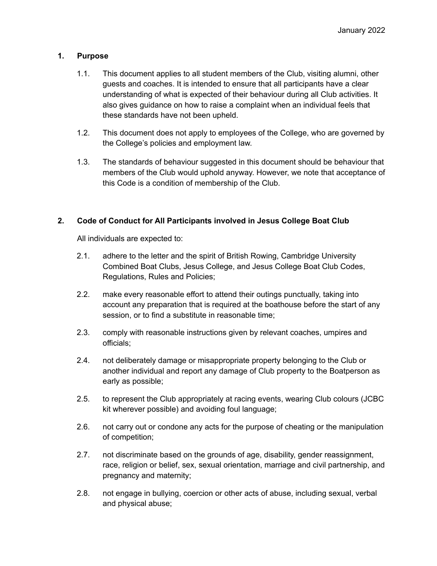## **1. Purpose**

- 1.1. This document applies to all student members of the Club, visiting alumni, other guests and coaches. It is intended to ensure that all participants have a clear understanding of what is expected of their behaviour during all Club activities. It also gives guidance on how to raise a complaint when an individual feels that these standards have not been upheld.
- 1.2. This document does not apply to employees of the College, who are governed by the College's policies and employment law.
- 1.3. The standards of behaviour suggested in this document should be behaviour that members of the Club would uphold anyway. However, we note that acceptance of this Code is a condition of membership of the Club.

## **2. Code of Conduct for All Participants involved in Jesus College Boat Club**

All individuals are expected to:

- 2.1. adhere to the letter and the spirit of British Rowing, Cambridge University Combined Boat Clubs, Jesus College, and Jesus College Boat Club Codes, Regulations, Rules and Policies;
- 2.2. make every reasonable effort to attend their outings punctually, taking into account any preparation that is required at the boathouse before the start of any session, or to find a substitute in reasonable time;
- 2.3. comply with reasonable instructions given by relevant coaches, umpires and officials;
- 2.4. not deliberately damage or misappropriate property belonging to the Club or another individual and report any damage of Club property to the Boatperson as early as possible;
- 2.5. to represent the Club appropriately at racing events, wearing Club colours (JCBC kit wherever possible) and avoiding foul language;
- 2.6. not carry out or condone any acts for the purpose of cheating or the manipulation of competition;
- 2.7. not discriminate based on the grounds of age, disability, gender reassignment, race, religion or belief, sex, sexual orientation, marriage and civil partnership, and pregnancy and maternity;
- 2.8. not engage in bullying, coercion or other acts of abuse, including sexual, verbal and physical abuse;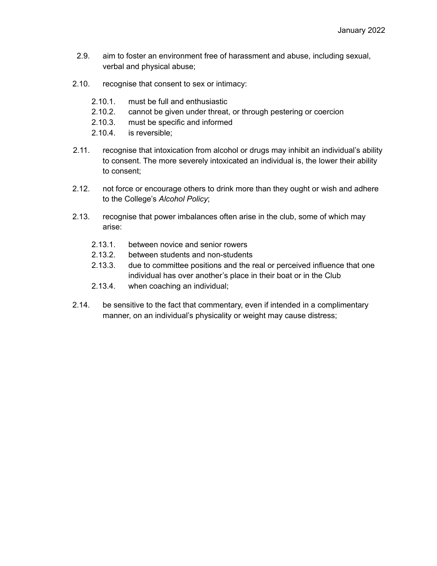- 2.9. aim to foster an environment free of harassment and abuse, including sexual, verbal and physical abuse;
- 2.10. recognise that consent to sex or intimacy:
	- 2.10.1. must be full and enthusiastic
	- 2.10.2. cannot be given under threat, or through pestering or coercion
	- 2.10.3. must be specific and informed
	- 2.10.4. is reversible;
- 2.11. recognise that intoxication from alcohol or drugs may inhibit an individual's ability to consent. The more severely intoxicated an individual is, the lower their ability to consent;
- 2.12. not force or encourage others to drink more than they ought or wish and adhere to the College's *Alcohol Policy*;
- 2.13. recognise that power imbalances often arise in the club, some of which may arise:
	- 2.13.1. between novice and senior rowers
	- 2.13.2. between students and non-students
	- 2.13.3. due to committee positions and the real or perceived influence that one individual has over another's place in their boat or in the Club
	- 2.13.4. when coaching an individual;
- 2.14. be sensitive to the fact that commentary, even if intended in a complimentary manner, on an individual's physicality or weight may cause distress;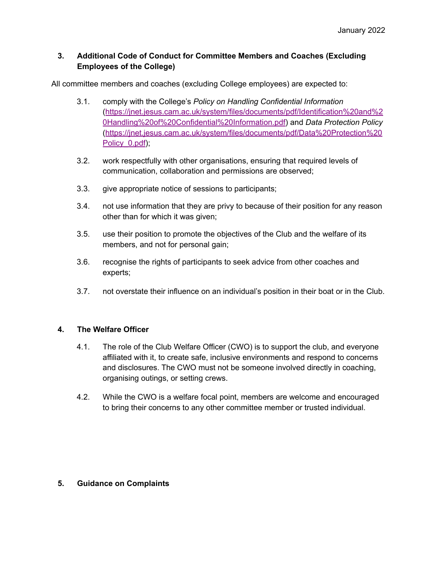## **3. Additional Code of Conduct for Committee Members and Coaches (Excluding Employees of the College)**

All committee members and coaches (excluding College employees) are expected to:

- 3.1. comply with the College's *Policy on Handling Confidential Information* ([https://jnet.jesus.cam.ac.uk/system/files/documents/pdf/Identification%20and%2](https://jnet.jesus.cam.ac.uk/system/files/documents/pdf/Identification%20and%20Handling%20of%20Confidential%20Information.pdf) [0Handling%20of%20Confidential%20Information.pdf](https://jnet.jesus.cam.ac.uk/system/files/documents/pdf/Identification%20and%20Handling%20of%20Confidential%20Information.pdf)) and *Data Protection Policy* ([https://jnet.jesus.cam.ac.uk/system/files/documents/pdf/Data%20Protection%20](https://jnet.jesus.cam.ac.uk/system/files/documents/pdf/Data%20Protection%20Policy_0.pdf) Policy 0.pdf);
- 3.2. work respectfully with other organisations, ensuring that required levels of communication, collaboration and permissions are observed;
- 3.3. give appropriate notice of sessions to participants;
- 3.4. not use information that they are privy to because of their position for any reason other than for which it was given;
- 3.5. use their position to promote the objectives of the Club and the welfare of its members, and not for personal gain;
- 3.6. recognise the rights of participants to seek advice from other coaches and experts;
- 3.7. not overstate their influence on an individual's position in their boat or in the Club.

## **4. The Welfare Officer**

- 4.1. The role of the Club Welfare Officer (CWO) is to support the club, and everyone affiliated with it, to create safe, inclusive environments and respond to concerns and disclosures. The CWO must not be someone involved directly in coaching, organising outings, or setting crews.
- 4.2. While the CWO is a welfare focal point, members are welcome and encouraged to bring their concerns to any other committee member or trusted individual.

## **5. Guidance on Complaints**